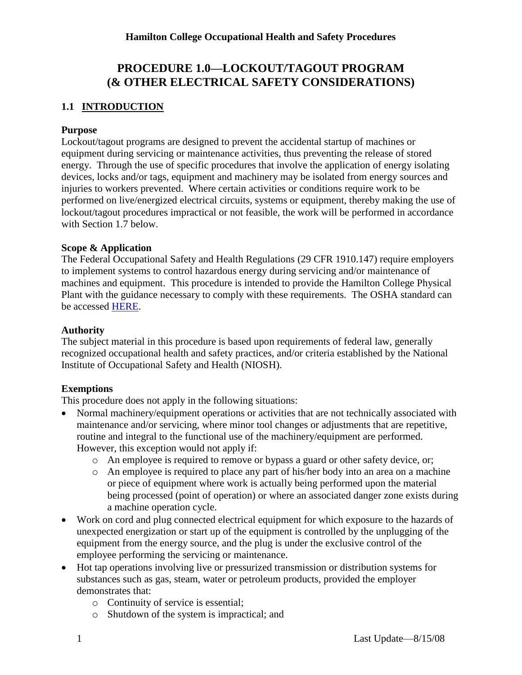# **PROCEDURE 1.0—LOCKOUT/TAGOUT PROGRAM (& OTHER ELECTRICAL SAFETY CONSIDERATIONS)**

# **1.1 INTRODUCTION**

#### **Purpose**

Lockout/tagout programs are designed to prevent the accidental startup of machines or equipment during servicing or maintenance activities, thus preventing the release of stored energy. Through the use of specific procedures that involve the application of energy isolating devices, locks and/or tags, equipment and machinery may be isolated from energy sources and injuries to workers prevented. Where certain activities or conditions require work to be performed on live/energized electrical circuits, systems or equipment, thereby making the use of lockout/tagout procedures impractical or not feasible, the work will be performed in accordance with Section 1.7 below.

#### **Scope & Application**

The Federal Occupational Safety and Health Regulations (29 CFR 1910.147) require employers to implement systems to control hazardous energy during servicing and/or maintenance of machines and equipment. This procedure is intended to provide the Hamilton College Physical Plant with the guidance necessary to comply with these requirements. The OSHA standard can be accessed [HERE.](http://www.osha.gov/pls/oshaweb/owadisp.show_document?p_table=STANDARDS&p_id=9804)

#### **Authority**

The subject material in this procedure is based upon requirements of federal law, generally recognized occupational health and safety practices, and/or criteria established by the National Institute of Occupational Safety and Health (NIOSH).

# **Exemptions**

This procedure does not apply in the following situations:

- Normal machinery/equipment operations or activities that are not technically associated with maintenance and/or servicing, where minor tool changes or adjustments that are repetitive, routine and integral to the functional use of the machinery/equipment are performed. However, this exception would not apply if:
	- o An employee is required to remove or bypass a guard or other safety device, or;
	- o An employee is required to place any part of his/her body into an area on a machine or piece of equipment where work is actually being performed upon the material being processed (point of operation) or where an associated danger zone exists during a machine operation cycle.
- Work on cord and plug connected electrical equipment for which exposure to the hazards of unexpected energization or start up of the equipment is controlled by the unplugging of the equipment from the energy source, and the plug is under the exclusive control of the employee performing the servicing or maintenance.
- Hot tap operations involving live or pressurized transmission or distribution systems for substances such as gas, steam, water or petroleum products, provided the employer demonstrates that:
	- o Continuity of service is essential;
	- o Shutdown of the system is impractical; and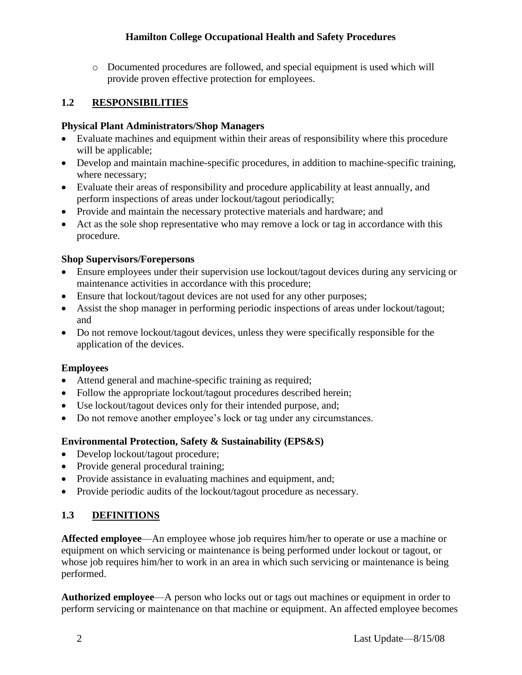o Documented procedures are followed, and special equipment is used which will provide proven effective protection for employees.

# **1.2 RESPONSIBILITIES**

### **Physical Plant Administrators/Shop Managers**

- Evaluate machines and equipment within their areas of responsibility where this procedure will be applicable;
- Develop and maintain machine-specific procedures, in addition to machine-specific training, where necessary;
- Evaluate their areas of responsibility and procedure applicability at least annually, and perform inspections of areas under lockout/tagout periodically;
- Provide and maintain the necessary protective materials and hardware; and
- Act as the sole shop representative who may remove a lock or tag in accordance with this procedure.

# **Shop Supervisors/Forepersons**

- Ensure employees under their supervision use lockout/tagout devices during any servicing or maintenance activities in accordance with this procedure;
- Ensure that lockout/tagout devices are not used for any other purposes;
- Assist the shop manager in performing periodic inspections of areas under lockout/tagout; and
- Do not remove lockout/tagout devices, unless they were specifically responsible for the application of the devices.

# **Employees**

- Attend general and machine-specific training as required;
- Follow the appropriate lockout/tagout procedures described herein;
- Use lockout/tagout devices only for their intended purpose, and;
- Do not remove another employee's lock or tag under any circumstances.

# **Environmental Protection, Safety & Sustainability (EPS&S)**

- Develop lockout/tagout procedure;
- Provide general procedural training;
- Provide assistance in evaluating machines and equipment, and;
- Provide periodic audits of the lockout/tagout procedure as necessary.

# **1.3 DEFINITIONS**

**Affected employee**—An employee whose job requires him/her to operate or use a machine or equipment on which servicing or maintenance is being performed under lockout or tagout, or whose job requires him/her to work in an area in which such servicing or maintenance is being performed.

**Authorized employee**—A person who locks out or tags out machines or equipment in order to perform servicing or maintenance on that machine or equipment. An affected employee becomes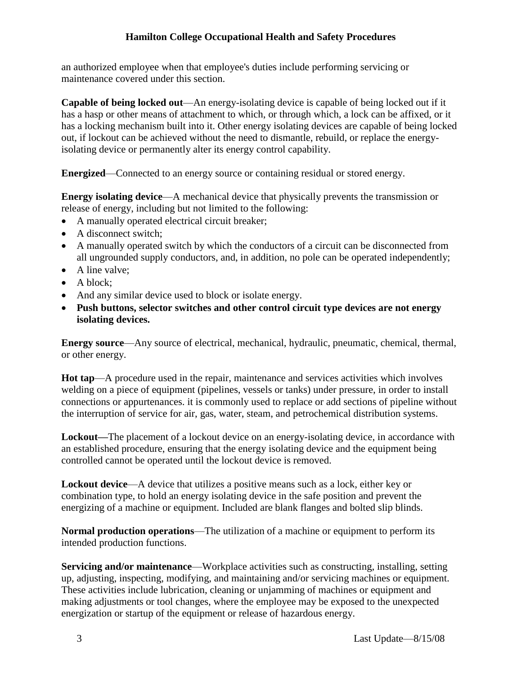an authorized employee when that employee's duties include performing servicing or maintenance covered under this section.

**Capable of being locked out**—An energy-isolating device is capable of being locked out if it has a hasp or other means of attachment to which, or through which, a lock can be affixed, or it has a locking mechanism built into it. Other energy isolating devices are capable of being locked out, if lockout can be achieved without the need to dismantle, rebuild, or replace the energyisolating device or permanently alter its energy control capability.

**Energized**—Connected to an energy source or containing residual or stored energy.

**Energy isolating device**—A mechanical device that physically prevents the transmission or release of energy, including but not limited to the following:

- A manually operated electrical circuit breaker;
- A disconnect switch:
- A manually operated switch by which the conductors of a circuit can be disconnected from all ungrounded supply conductors, and, in addition, no pole can be operated independently;
- A line valve;
- A block;
- And any similar device used to block or isolate energy.
- **Push buttons, selector switches and other control circuit type devices are not energy isolating devices.**

**Energy source**—Any source of electrical, mechanical, hydraulic, pneumatic, chemical, thermal, or other energy.

**Hot tap**—A procedure used in the repair, maintenance and services activities which involves welding on a piece of equipment (pipelines, vessels or tanks) under pressure, in order to install connections or appurtenances. it is commonly used to replace or add sections of pipeline without the interruption of service for air, gas, water, steam, and petrochemical distribution systems.

**Lockout—**The placement of a lockout device on an energy-isolating device, in accordance with an established procedure, ensuring that the energy isolating device and the equipment being controlled cannot be operated until the lockout device is removed.

**Lockout device**—A device that utilizes a positive means such as a lock, either key or combination type, to hold an energy isolating device in the safe position and prevent the energizing of a machine or equipment. Included are blank flanges and bolted slip blinds.

**Normal production operations**—The utilization of a machine or equipment to perform its intended production functions.

**Servicing and/or maintenance**—Workplace activities such as constructing, installing, setting up, adjusting, inspecting, modifying, and maintaining and/or servicing machines or equipment. These activities include lubrication, cleaning or unjamming of machines or equipment and making adjustments or tool changes, where the employee may be exposed to the unexpected energization or startup of the equipment or release of hazardous energy.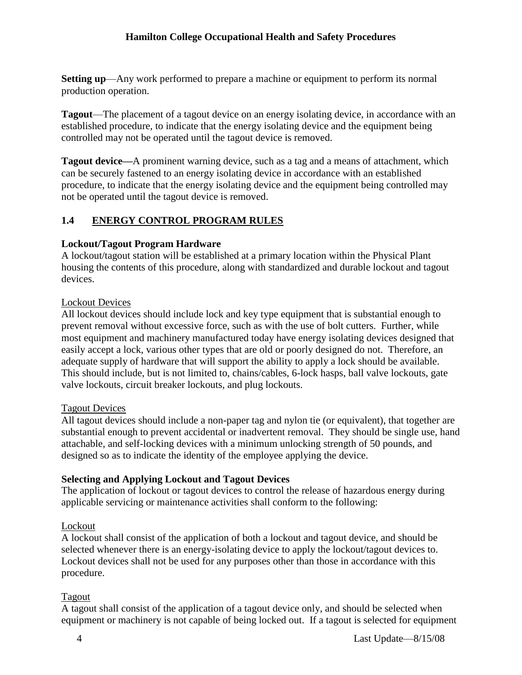**Setting up**—Any work performed to prepare a machine or equipment to perform its normal production operation.

**Tagout**—The placement of a tagout device on an energy isolating device, in accordance with an established procedure, to indicate that the energy isolating device and the equipment being controlled may not be operated until the tagout device is removed.

**Tagout device—**A prominent warning device, such as a tag and a means of attachment, which can be securely fastened to an energy isolating device in accordance with an established procedure, to indicate that the energy isolating device and the equipment being controlled may not be operated until the tagout device is removed.

# **1.4 ENERGY CONTROL PROGRAM RULES**

# **Lockout/Tagout Program Hardware**

A lockout/tagout station will be established at a primary location within the Physical Plant housing the contents of this procedure, along with standardized and durable lockout and tagout devices.

# Lockout Devices

All lockout devices should include lock and key type equipment that is substantial enough to prevent removal without excessive force, such as with the use of bolt cutters. Further, while most equipment and machinery manufactured today have energy isolating devices designed that easily accept a lock, various other types that are old or poorly designed do not. Therefore, an adequate supply of hardware that will support the ability to apply a lock should be available. This should include, but is not limited to, chains/cables, 6-lock hasps, ball valve lockouts, gate valve lockouts, circuit breaker lockouts, and plug lockouts.

# Tagout Devices

All tagout devices should include a non-paper tag and nylon tie (or equivalent), that together are substantial enough to prevent accidental or inadvertent removal. They should be single use, hand attachable, and self-locking devices with a minimum unlocking strength of 50 pounds, and designed so as to indicate the identity of the employee applying the device.

# **Selecting and Applying Lockout and Tagout Devices**

The application of lockout or tagout devices to control the release of hazardous energy during applicable servicing or maintenance activities shall conform to the following:

# Lockout

A lockout shall consist of the application of both a lockout and tagout device, and should be selected whenever there is an energy-isolating device to apply the lockout/tagout devices to. Lockout devices shall not be used for any purposes other than those in accordance with this procedure.

# Tagout

A tagout shall consist of the application of a tagout device only, and should be selected when equipment or machinery is not capable of being locked out. If a tagout is selected for equipment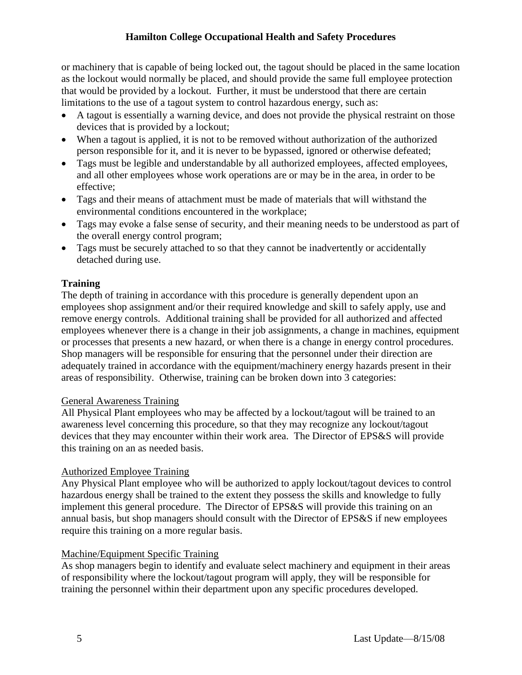or machinery that is capable of being locked out, the tagout should be placed in the same location as the lockout would normally be placed, and should provide the same full employee protection that would be provided by a lockout. Further, it must be understood that there are certain limitations to the use of a tagout system to control hazardous energy, such as:

- A tagout is essentially a warning device, and does not provide the physical restraint on those devices that is provided by a lockout;
- When a tagout is applied, it is not to be removed without authorization of the authorized person responsible for it, and it is never to be bypassed, ignored or otherwise defeated;
- Tags must be legible and understandable by all authorized employees, affected employees, and all other employees whose work operations are or may be in the area, in order to be effective;
- Tags and their means of attachment must be made of materials that will withstand the environmental conditions encountered in the workplace;
- Tags may evoke a false sense of security, and their meaning needs to be understood as part of the overall energy control program;
- Tags must be securely attached to so that they cannot be inadvertently or accidentally detached during use.

#### **Training**

The depth of training in accordance with this procedure is generally dependent upon an employees shop assignment and/or their required knowledge and skill to safely apply, use and remove energy controls. Additional training shall be provided for all authorized and affected employees whenever there is a change in their job assignments, a change in machines, equipment or processes that presents a new hazard, or when there is a change in energy control procedures. Shop managers will be responsible for ensuring that the personnel under their direction are adequately trained in accordance with the equipment/machinery energy hazards present in their areas of responsibility. Otherwise, training can be broken down into 3 categories:

#### General Awareness Training

All Physical Plant employees who may be affected by a lockout/tagout will be trained to an awareness level concerning this procedure, so that they may recognize any lockout/tagout devices that they may encounter within their work area. The Director of EPS&S will provide this training on an as needed basis.

#### Authorized Employee Training

Any Physical Plant employee who will be authorized to apply lockout/tagout devices to control hazardous energy shall be trained to the extent they possess the skills and knowledge to fully implement this general procedure. The Director of EPS&S will provide this training on an annual basis, but shop managers should consult with the Director of EPS&S if new employees require this training on a more regular basis.

#### Machine/Equipment Specific Training

As shop managers begin to identify and evaluate select machinery and equipment in their areas of responsibility where the lockout/tagout program will apply, they will be responsible for training the personnel within their department upon any specific procedures developed.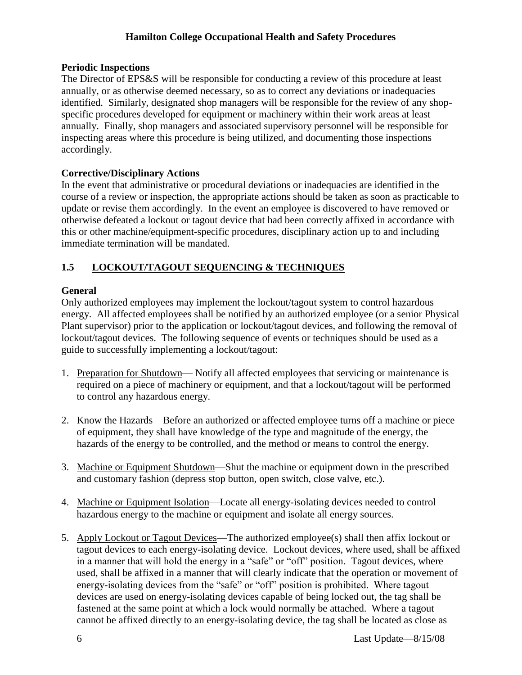#### **Periodic Inspections**

The Director of EPS&S will be responsible for conducting a review of this procedure at least annually, or as otherwise deemed necessary, so as to correct any deviations or inadequacies identified. Similarly, designated shop managers will be responsible for the review of any shopspecific procedures developed for equipment or machinery within their work areas at least annually. Finally, shop managers and associated supervisory personnel will be responsible for inspecting areas where this procedure is being utilized, and documenting those inspections accordingly.

#### **Corrective/Disciplinary Actions**

In the event that administrative or procedural deviations or inadequacies are identified in the course of a review or inspection, the appropriate actions should be taken as soon as practicable to update or revise them accordingly. In the event an employee is discovered to have removed or otherwise defeated a lockout or tagout device that had been correctly affixed in accordance with this or other machine/equipment-specific procedures, disciplinary action up to and including immediate termination will be mandated.

#### **1.5 LOCKOUT/TAGOUT SEQUENCING & TECHNIQUES**

#### **General**

Only authorized employees may implement the lockout/tagout system to control hazardous energy. All affected employees shall be notified by an authorized employee (or a senior Physical Plant supervisor) prior to the application or lockout/tagout devices, and following the removal of lockout/tagout devices. The following sequence of events or techniques should be used as a guide to successfully implementing a lockout/tagout:

- 1. Preparation for Shutdown— Notify all affected employees that servicing or maintenance is required on a piece of machinery or equipment, and that a lockout/tagout will be performed to control any hazardous energy.
- 2. Know the Hazards—Before an authorized or affected employee turns off a machine or piece of equipment, they shall have knowledge of the type and magnitude of the energy, the hazards of the energy to be controlled, and the method or means to control the energy.
- 3. Machine or Equipment Shutdown—Shut the machine or equipment down in the prescribed and customary fashion (depress stop button, open switch, close valve, etc.).
- 4. Machine or Equipment Isolation—Locate all energy-isolating devices needed to control hazardous energy to the machine or equipment and isolate all energy sources.
- 5. Apply Lockout or Tagout Devices—The authorized employee(s) shall then affix lockout or tagout devices to each energy-isolating device. Lockout devices, where used, shall be affixed in a manner that will hold the energy in a "safe" or "off" position. Tagout devices, where used, shall be affixed in a manner that will clearly indicate that the operation or movement of energy-isolating devices from the "safe" or "off" position is prohibited. Where tagout devices are used on energy-isolating devices capable of being locked out, the tag shall be fastened at the same point at which a lock would normally be attached. Where a tagout cannot be affixed directly to an energy-isolating device, the tag shall be located as close as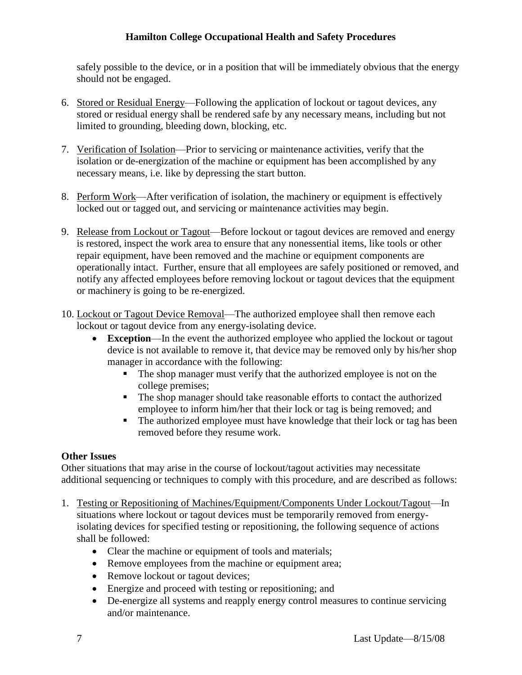safely possible to the device, or in a position that will be immediately obvious that the energy should not be engaged.

- 6. Stored or Residual Energy—Following the application of lockout or tagout devices, any stored or residual energy shall be rendered safe by any necessary means, including but not limited to grounding, bleeding down, blocking, etc.
- 7. Verification of Isolation—Prior to servicing or maintenance activities, verify that the isolation or de-energization of the machine or equipment has been accomplished by any necessary means, i.e. like by depressing the start button.
- 8. Perform Work—After verification of isolation, the machinery or equipment is effectively locked out or tagged out, and servicing or maintenance activities may begin.
- 9. Release from Lockout or Tagout—Before lockout or tagout devices are removed and energy is restored, inspect the work area to ensure that any nonessential items, like tools or other repair equipment, have been removed and the machine or equipment components are operationally intact. Further, ensure that all employees are safely positioned or removed, and notify any affected employees before removing lockout or tagout devices that the equipment or machinery is going to be re-energized.
- 10. Lockout or Tagout Device Removal—The authorized employee shall then remove each lockout or tagout device from any energy-isolating device.
	- **Exception**—In the event the authorized employee who applied the lockout or tagout device is not available to remove it, that device may be removed only by his/her shop manager in accordance with the following:
		- The shop manager must verify that the authorized employee is not on the college premises;
		- The shop manager should take reasonable efforts to contact the authorized employee to inform him/her that their lock or tag is being removed; and
		- The authorized employee must have knowledge that their lock or tag has been removed before they resume work.

#### **Other Issues**

Other situations that may arise in the course of lockout/tagout activities may necessitate additional sequencing or techniques to comply with this procedure, and are described as follows:

- 1. Testing or Repositioning of Machines/Equipment/Components Under Lockout/Tagout—In situations where lockout or tagout devices must be temporarily removed from energyisolating devices for specified testing or repositioning, the following sequence of actions shall be followed:
	- Clear the machine or equipment of tools and materials;
	- Remove employees from the machine or equipment area;
	- Remove lockout or tagout devices;
	- Energize and proceed with testing or repositioning; and
	- De-energize all systems and reapply energy control measures to continue servicing and/or maintenance.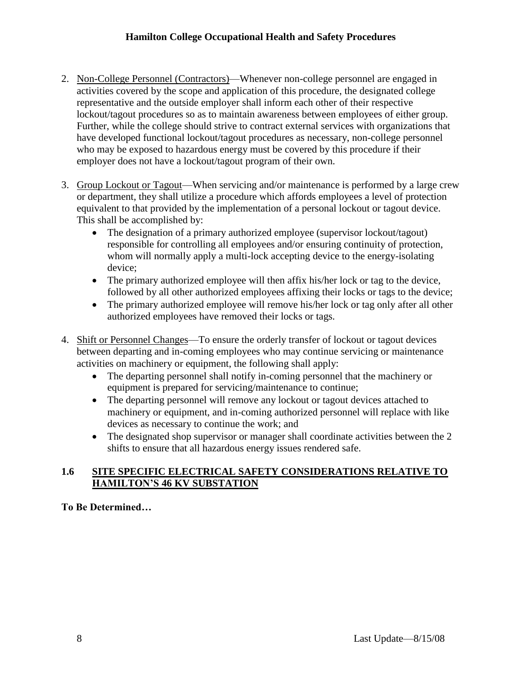- 2. Non-College Personnel (Contractors)—Whenever non-college personnel are engaged in activities covered by the scope and application of this procedure, the designated college representative and the outside employer shall inform each other of their respective lockout/tagout procedures so as to maintain awareness between employees of either group. Further, while the college should strive to contract external services with organizations that have developed functional lockout/tagout procedures as necessary, non-college personnel who may be exposed to hazardous energy must be covered by this procedure if their employer does not have a lockout/tagout program of their own.
- 3. Group Lockout or Tagout—When servicing and/or maintenance is performed by a large crew or department, they shall utilize a procedure which affords employees a level of protection equivalent to that provided by the implementation of a personal lockout or tagout device. This shall be accomplished by:
	- The designation of a primary authorized employee (supervisor lockout/tagout) responsible for controlling all employees and/or ensuring continuity of protection, whom will normally apply a multi-lock accepting device to the energy-isolating device;
	- The primary authorized employee will then affix his/her lock or tag to the device, followed by all other authorized employees affixing their locks or tags to the device;
	- The primary authorized employee will remove his/her lock or tag only after all other authorized employees have removed their locks or tags.
- 4. Shift or Personnel Changes—To ensure the orderly transfer of lockout or tagout devices between departing and in-coming employees who may continue servicing or maintenance activities on machinery or equipment, the following shall apply:
	- The departing personnel shall notify in-coming personnel that the machinery or equipment is prepared for servicing/maintenance to continue;
	- The departing personnel will remove any lockout or tagout devices attached to machinery or equipment, and in-coming authorized personnel will replace with like devices as necessary to continue the work; and
	- The designated shop supervisor or manager shall coordinate activities between the 2 shifts to ensure that all hazardous energy issues rendered safe.

#### **1.6 SITE SPECIFIC ELECTRICAL SAFETY CONSIDERATIONS RELATIVE TO HAMILTON'S 46 KV SUBSTATION**

**To Be Determined…**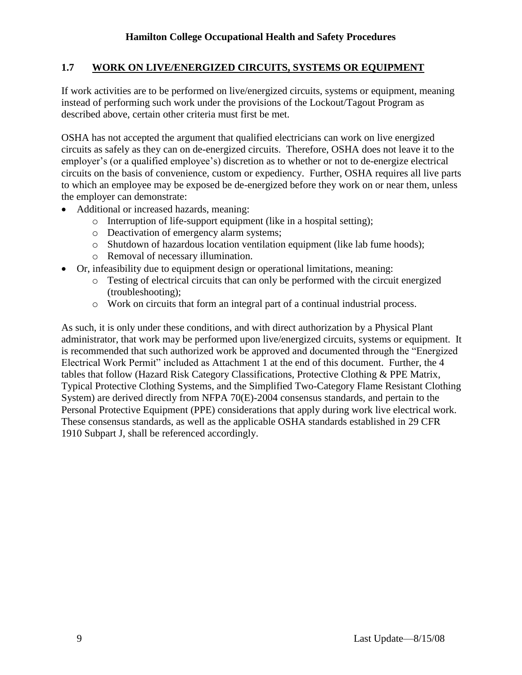### **1.7 WORK ON LIVE/ENERGIZED CIRCUITS, SYSTEMS OR EQUIPMENT**

If work activities are to be performed on live/energized circuits, systems or equipment, meaning instead of performing such work under the provisions of the Lockout/Tagout Program as described above, certain other criteria must first be met.

OSHA has not accepted the argument that qualified electricians can work on live energized circuits as safely as they can on de-energized circuits. Therefore, OSHA does not leave it to the employer's (or a qualified employee's) discretion as to whether or not to de-energize electrical circuits on the basis of convenience, custom or expediency. Further, OSHA requires all live parts to which an employee may be exposed be de-energized before they work on or near them, unless the employer can demonstrate:

- Additional or increased hazards, meaning:
	- o Interruption of life-support equipment (like in a hospital setting);
	- o Deactivation of emergency alarm systems;
	- o Shutdown of hazardous location ventilation equipment (like lab fume hoods);
	- o Removal of necessary illumination.
- Or, infeasibility due to equipment design or operational limitations, meaning:
	- o Testing of electrical circuits that can only be performed with the circuit energized (troubleshooting);
	- o Work on circuits that form an integral part of a continual industrial process.

As such, it is only under these conditions, and with direct authorization by a Physical Plant administrator, that work may be performed upon live/energized circuits, systems or equipment. It is recommended that such authorized work be approved and documented through the "Energized Electrical Work Permit" included as Attachment 1 at the end of this document. Further, the 4 tables that follow (Hazard Risk Category Classifications, Protective Clothing & PPE Matrix, Typical Protective Clothing Systems, and the Simplified Two-Category Flame Resistant Clothing System) are derived directly from NFPA 70(E)-2004 consensus standards, and pertain to the Personal Protective Equipment (PPE) considerations that apply during work live electrical work. These consensus standards, as well as the applicable OSHA standards established in 29 CFR 1910 Subpart J, shall be referenced accordingly.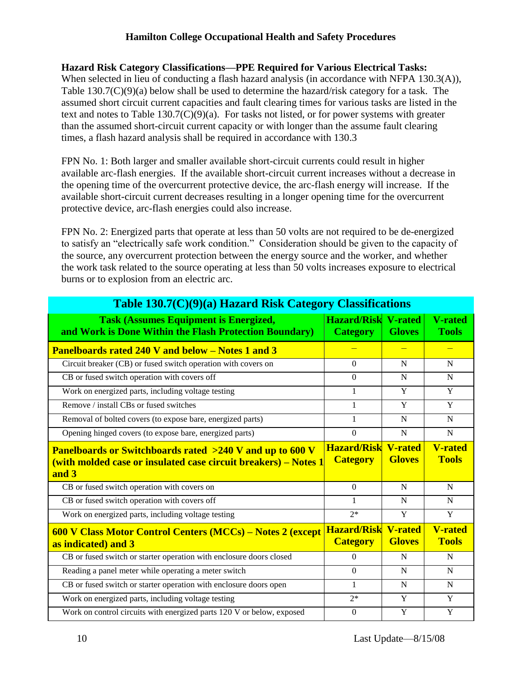#### **Hazard Risk Category Classifications—PPE Required for Various Electrical Tasks:**

When selected in lieu of conducting a flash hazard analysis (in accordance with NFPA 130.3(A)), Table 130.7(C)(9)(a) below shall be used to determine the hazard/risk category for a task. The assumed short circuit current capacities and fault clearing times for various tasks are listed in the text and notes to Table 130.7(C)(9)(a). For tasks not listed, or for power systems with greater than the assumed short-circuit current capacity or with longer than the assume fault clearing times, a flash hazard analysis shall be required in accordance with 130.3

FPN No. 1: Both larger and smaller available short-circuit currents could result in higher available arc-flash energies. If the available short-circuit current increases without a decrease in the opening time of the overcurrent protective device, the arc-flash energy will increase. If the available short-circuit current decreases resulting in a longer opening time for the overcurrent protective device, arc-flash energies could also increase.

FPN No. 2: Energized parts that operate at less than 50 volts are not required to be de-energized to satisfy an "electrically safe work condition." Consideration should be given to the capacity of the source, any overcurrent protection between the energy source and the worker, and whether the work task related to the source operating at less than 50 volts increases exposure to electrical burns or to explosion from an electric arc.

| Table 130.7(C)(9)(a) Hazard Risk Category Classifications                                                                                      |                                               |                                 |                                |  |  |  |
|------------------------------------------------------------------------------------------------------------------------------------------------|-----------------------------------------------|---------------------------------|--------------------------------|--|--|--|
| <b>Task (Assumes Equipment is Energized,</b><br>and Work is Done Within the Flash Protection Boundary)                                         | <b>Hazard/Risk V-rated</b><br><b>Category</b> | <b>Gloves</b>                   | <b>V-rated</b><br><b>Tools</b> |  |  |  |
| <b>Panelboards rated 240 V and below - Notes 1 and 3</b>                                                                                       |                                               |                                 | $\equiv$                       |  |  |  |
| Circuit breaker (CB) or fused switch operation with covers on                                                                                  | $\Omega$                                      | N                               | N                              |  |  |  |
| CB or fused switch operation with covers off                                                                                                   | $\Omega$                                      | N                               | N                              |  |  |  |
| Work on energized parts, including voltage testing                                                                                             | 1                                             | Y                               | Y                              |  |  |  |
| Remove / install CBs or fused switches                                                                                                         | 1                                             | Y                               | Y                              |  |  |  |
| Removal of bolted covers (to expose bare, energized parts)                                                                                     | 1                                             | N                               | $\mathbf N$                    |  |  |  |
| Opening hinged covers (to expose bare, energized parts)                                                                                        | $\boldsymbol{0}$                              | $\mathbf N$                     | N                              |  |  |  |
|                                                                                                                                                | <b>Hazard/Risk V-rated</b>                    |                                 | <b>V-rated</b>                 |  |  |  |
| <b>Panelboards or Switchboards rated &gt;240 V and up to 600 V</b><br>(with molded case or insulated case circuit breakers) – Notes 1<br>and 3 | <b>Category</b>                               | <b>Gloves</b>                   | <b>Tools</b>                   |  |  |  |
| CB or fused switch operation with covers on                                                                                                    | $\Omega$                                      | N                               | N                              |  |  |  |
| CB or fused switch operation with covers off                                                                                                   | 1                                             | N                               | N                              |  |  |  |
| Work on energized parts, including voltage testing                                                                                             | $2*$                                          | Y                               | Y                              |  |  |  |
| 600 V Class Motor Control Centers (MCCs) - Notes 2 (except<br>as indicated) and 3                                                              | <b>Hazard/Risk</b><br><b>Category</b>         | <b>V-rated</b><br><b>Gloves</b> | <b>V-rated</b><br><b>Tools</b> |  |  |  |
| CB or fused switch or starter operation with enclosure doors closed                                                                            | $\Omega$                                      | N                               | N                              |  |  |  |
| Reading a panel meter while operating a meter switch                                                                                           | $\theta$                                      | N                               | N                              |  |  |  |
| CB or fused switch or starter operation with enclosure doors open                                                                              | 1                                             | N                               | N                              |  |  |  |
| Work on energized parts, including voltage testing                                                                                             | $2*$                                          | Y                               | Y                              |  |  |  |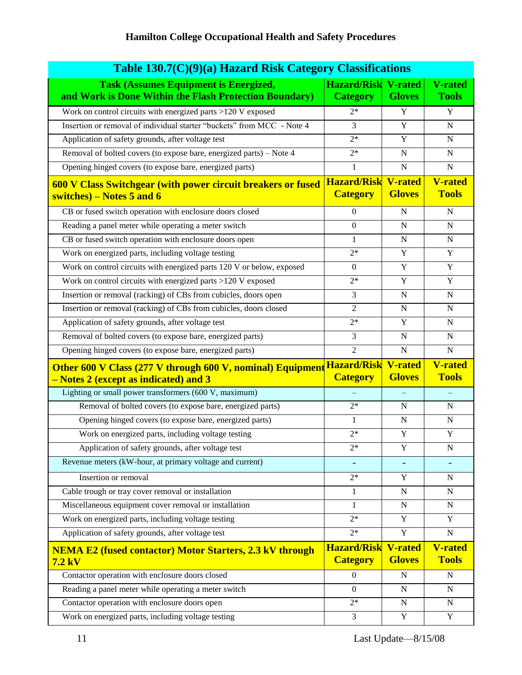| Table 130.7(C)(9)(a) Hazard Risk Category Classifications                                                  |                                               |                                 |                                |  |  |
|------------------------------------------------------------------------------------------------------------|-----------------------------------------------|---------------------------------|--------------------------------|--|--|
| <b>Task (Assumes Equipment is Energized,</b><br>and Work is Done Within the Flash Protection Boundary)     | <b>Hazard/Risk V-rated</b><br><b>Category</b> | <b>Gloves</b>                   | <b>V-rated</b><br><b>Tools</b> |  |  |
| Work on control circuits with energized parts >120 V exposed                                               | $2*$                                          | Y                               | $\mathbf Y$                    |  |  |
| Insertion or removal of individual starter "buckets" from MCC - Note 4                                     | 3                                             | Y                               | $\mathbf N$                    |  |  |
| Application of safety grounds, after voltage test                                                          | $2*$                                          | Y                               | $\mathbf N$                    |  |  |
| Removal of bolted covers (to expose bare, energized parts) – Note 4                                        | $2*$                                          | $\mathbf N$                     | $\mathbf N$                    |  |  |
| Opening hinged covers (to expose bare, energized parts)                                                    | $\mathbf{1}$                                  | $\mathbf N$                     | $\mathbf N$                    |  |  |
| 600 V Class Switchgear (with power circuit breakers or fused<br>switches) – Notes 5 and 6                  | <b>Hazard/Risk</b><br><b>Category</b>         | <b>V-rated</b><br><b>Gloves</b> | <b>V-rated</b><br><b>Tools</b> |  |  |
| CB or fused switch operation with enclosure doors closed                                                   | $\overline{0}$                                | N                               | $\mathbf N$                    |  |  |
| Reading a panel meter while operating a meter switch                                                       | $\theta$                                      | N                               | N                              |  |  |
| CB or fused switch operation with enclosure doors open                                                     | $\mathbf{1}$                                  | N                               | N                              |  |  |
| Work on energized parts, including voltage testing                                                         | $2*$                                          | Y                               | Y                              |  |  |
| Work on control circuits with energized parts 120 V or below, exposed                                      | $\theta$                                      | $\mathbf Y$                     | $\mathbf Y$                    |  |  |
| Work on control circuits with energized parts >120 V exposed                                               | $2*$                                          | Y                               | Y                              |  |  |
| Insertion or removal (racking) of CBs from cubicles, doors open                                            | 3                                             | ${\bf N}$                       | ${\bf N}$                      |  |  |
| Insertion or removal (racking) of CBs from cubicles, doors closed                                          | $\overline{2}$                                | $\mathbf N$                     | $\overline{N}$                 |  |  |
| Application of safety grounds, after voltage test                                                          | $2*$                                          | Y                               | $\mathbf N$                    |  |  |
| Removal of bolted covers (to expose bare, energized parts)                                                 | 3                                             | $\mathbf N$                     | $\mathbf N$                    |  |  |
| Opening hinged covers (to expose bare, energized parts)                                                    | $\overline{2}$                                | $\mathbf N$                     | $\mathbf N$                    |  |  |
| <b>Other 600 V Class (277 V through 600 V, nominal) Equipment</b><br>– Notes 2 (except as indicated) and 3 | <b>Hazard/Risk</b><br><b>Category</b>         | <b>V-rated</b><br><b>Gloves</b> | <b>V-rated</b><br><b>Tools</b> |  |  |
| Lighting or small power transformers (600 V, maximum)                                                      |                                               |                                 |                                |  |  |
| Removal of bolted covers (to expose bare, energized parts)                                                 | $2*$                                          | N                               | N                              |  |  |
| Opening hinged covers (to expose bare, energized parts)                                                    | $\mathbf{1}$                                  | $\mathbf N$                     | $\mathbf N$                    |  |  |
| Work on energized parts, including voltage testing                                                         | $2*$                                          | Y                               | Y                              |  |  |
| Application of safety grounds, after voltage test                                                          | $2*$                                          | Y                               | N                              |  |  |
| Revenue meters (kW-hour, at primary voltage and current)                                                   |                                               |                                 |                                |  |  |
| Insertion or removal                                                                                       | $2*$                                          | Y                               | N                              |  |  |
| Cable trough or tray cover removal or installation                                                         | 1                                             | N                               | N                              |  |  |
| Miscellaneous equipment cover removal or installation                                                      | 1                                             | $\mathbf N$                     | N                              |  |  |
| Work on energized parts, including voltage testing                                                         | $2*$                                          | Y                               | Y                              |  |  |
| Application of safety grounds, after voltage test                                                          | $2*$                                          | $\mathbf Y$                     | $\mathbf N$                    |  |  |
| <b>NEMA E2 (fused contactor) Motor Starters, 2.3 kV through</b><br>$7.2$ kV                                | <b>Hazard/Risk</b><br><b>Category</b>         | <b>V-rated</b><br><b>Gloves</b> | <b>V-rated</b><br><b>Tools</b> |  |  |
| Contactor operation with enclosure doors closed                                                            | $\mathbf{0}$                                  | N                               | N                              |  |  |
| Reading a panel meter while operating a meter switch                                                       | $\Omega$                                      | $\mathbf N$                     | $\mathbf N$                    |  |  |
| Contactor operation with enclosure doors open                                                              | $2*$                                          | N                               | N                              |  |  |
| Work on energized parts, including voltage testing                                                         | 3                                             | Y                               | Y                              |  |  |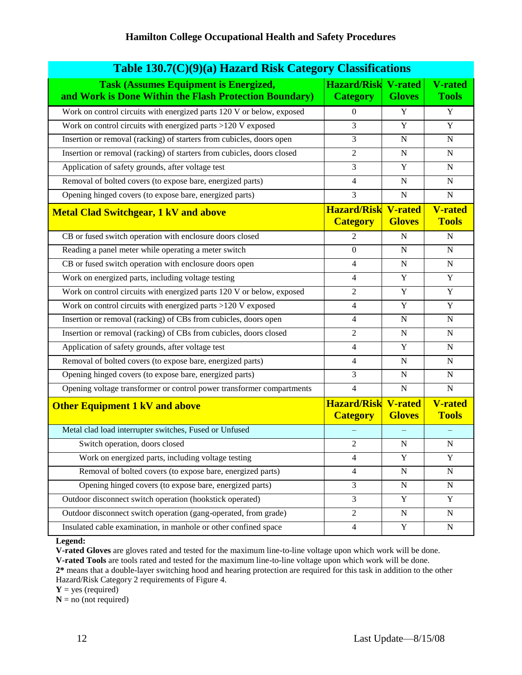| Table 130.7(C)(9)(a) Hazard Risk Category Classifications                                              |                                               |                                 |                                |  |  |  |
|--------------------------------------------------------------------------------------------------------|-----------------------------------------------|---------------------------------|--------------------------------|--|--|--|
| <b>Task (Assumes Equipment is Energized,</b><br>and Work is Done Within the Flash Protection Boundary) | <b>Hazard/Risk V-rated</b><br><b>Category</b> | <b>Gloves</b>                   | <b>V-rated</b><br><b>Tools</b> |  |  |  |
| Work on control circuits with energized parts 120 V or below, exposed                                  | $\Omega$                                      | Y                               | Y                              |  |  |  |
| Work on control circuits with energized parts >120 V exposed                                           | 3                                             | Y                               | Y                              |  |  |  |
| Insertion or removal (racking) of starters from cubicles, doors open                                   | 3                                             | N                               | N                              |  |  |  |
| Insertion or removal (racking) of starters from cubicles, doors closed                                 | $\overline{2}$                                | N                               | N                              |  |  |  |
| Application of safety grounds, after voltage test                                                      | 3                                             | Y                               | $\mathbf N$                    |  |  |  |
| Removal of bolted covers (to expose bare, energized parts)                                             | 4                                             | N                               | N                              |  |  |  |
| Opening hinged covers (to expose bare, energized parts)                                                | 3                                             | N                               | $\mathbf N$                    |  |  |  |
| <b>Metal Clad Switchgear, 1 kV and above</b>                                                           | <b>Hazard/Risk</b><br><b>Category</b>         | <b>V-rated</b><br><b>Gloves</b> | <b>V-rated</b><br><b>Tools</b> |  |  |  |
| CB or fused switch operation with enclosure doors closed                                               | $\mathfrak{D}$                                | N                               | ${\bf N}$                      |  |  |  |
| Reading a panel meter while operating a meter switch                                                   | $\Omega$                                      | $\mathbf N$                     | $\mathbf N$                    |  |  |  |
| CB or fused switch operation with enclosure doors open                                                 | 4                                             | $\mathbf N$                     | ${\bf N}$                      |  |  |  |
| Work on energized parts, including voltage testing                                                     | 4                                             | Y                               | Y                              |  |  |  |
| Work on control circuits with energized parts 120 V or below, exposed                                  | $\overline{2}$                                | $\mathbf Y$                     | $\mathbf Y$                    |  |  |  |
| Work on control circuits with energized parts >120 V exposed                                           | 4                                             | Y                               | Y                              |  |  |  |
| Insertion or removal (racking) of CBs from cubicles, doors open                                        | 4                                             | N                               | N                              |  |  |  |
| Insertion or removal (racking) of CBs from cubicles, doors closed                                      | $\overline{2}$                                | N                               | $\mathbf N$                    |  |  |  |
| Application of safety grounds, after voltage test                                                      | 4                                             | Y                               | N                              |  |  |  |
| Removal of bolted covers (to expose bare, energized parts)                                             | $\overline{4}$                                | N                               | N                              |  |  |  |
| Opening hinged covers (to expose bare, energized parts)                                                | 3                                             | N                               | N                              |  |  |  |
| Opening voltage transformer or control power transformer compartments                                  | $\overline{\mathcal{L}}$                      | $\mathbf N$                     | $\mathbf N$                    |  |  |  |
| <b>Other Equipment 1 kV and above</b>                                                                  | <b>Hazard/Risk</b><br><b>Category</b>         | <b>V-rated</b><br><b>Gloves</b> | <b>V-rated</b><br><b>Tools</b> |  |  |  |
| Metal clad load interrupter switches, Fused or Unfused                                                 |                                               |                                 |                                |  |  |  |
| Switch operation, doors closed                                                                         | 2                                             | N                               | N                              |  |  |  |
| Work on energized parts, including voltage testing                                                     | $\overline{4}$                                | $\mathbf Y$                     | $\mathbf Y$                    |  |  |  |
| Removal of bolted covers (to expose bare, energized parts)                                             | 4                                             | ${\bf N}$                       | ${\bf N}$                      |  |  |  |
| Opening hinged covers (to expose bare, energized parts)                                                | 3                                             | ${\bf N}$                       | ${\bf N}$                      |  |  |  |
| Outdoor disconnect switch operation (hookstick operated)                                               | 3                                             | Y                               | Y                              |  |  |  |
| Outdoor disconnect switch operation (gang-operated, from grade)                                        | $\overline{2}$                                | ${\bf N}$                       | N                              |  |  |  |
| Insulated cable examination, in manhole or other confined space                                        | $\overline{4}$                                | Y                               | N                              |  |  |  |

**Legend:**

**V-rated Gloves** are gloves rated and tested for the maximum line-to-line voltage upon which work will be done. **V-rated Tools** are tools rated and tested for the maximum line-to-line voltage upon which work will be done. **2\*** means that a double-layer switching hood and hearing protection are required for this task in addition to the other

Hazard/Risk Category 2 requirements of Figure 4.

**Y** = yes (required)

 $N = no$  (not required)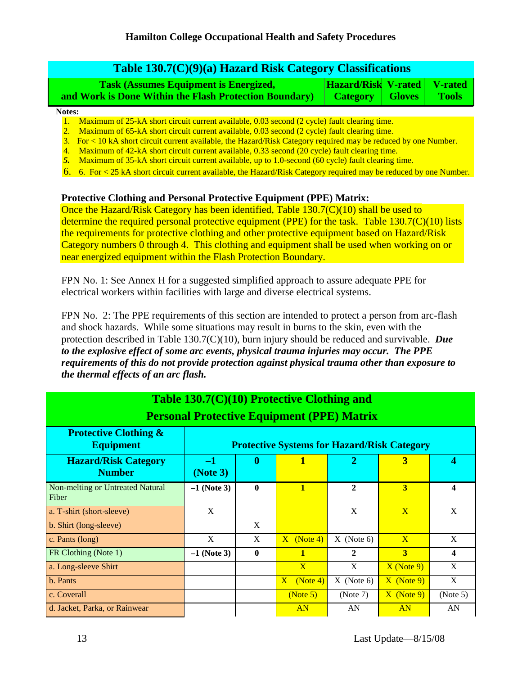| Table 130.7(C)(9)(a) Hazard Risk Category Classifications                                              |                                                |               |       |  |  |  |
|--------------------------------------------------------------------------------------------------------|------------------------------------------------|---------------|-------|--|--|--|
| <b>Task (Assumes Equipment is Energized,</b><br>and Work is Done Within the Flash Protection Boundary) | Hazard/Risk V-rated V-rated<br><b>Category</b> | <b>Gloves</b> | Tools |  |  |  |

**Notes:**

1. Maximum of 25-kA short circuit current available, 0.03 second (2 cycle) fault clearing time.

2. Maximum of 65-kA short circuit current available, 0.03 second (2 cycle) fault clearing time.

3. For < 10 kA short circuit current available, the Hazard/Risk Category required may be reduced by one Number.

4. Maximum of 42-kA short circuit current available, 0.33 second (20 cycle) fault clearing time.

*5.* Maximum of 35-kA short circuit current available, up to 1.0-second (60 cycle) fault clearing time.

6. 6. For < 25 kA short circuit current available, the Hazard/Risk Category required may be reduced by one Number.

#### **Protective Clothing and Personal Protective Equipment (PPE) Matrix:**

Once the Hazard/Risk Category has been identified, Table  $130.7(C)(10)$  shall be used to determine the required personal protective equipment (PPE) for the task. Table 130.7(C)(10) lists the requirements for protective clothing and other protective equipment based on Hazard/Risk Category numbers 0 through 4. This clothing and equipment shall be used when working on or near energized equipment within the Flash Protection Boundary.

FPN No. 1: See Annex H for a suggested simplified approach to assure adequate PPE for electrical workers within facilities with large and diverse electrical systems.

FPN No. 2: The PPE requirements of this section are intended to protect a person from arc-flash and shock hazards. While some situations may result in burns to the skin, even with the protection described in Table 130.7(C)(10), burn injury should be reduced and survivable. *Due to the explosive effect of some arc events, physical trauma injuries may occur. The PPE requirements of this do not provide protection against physical trauma other than exposure to the thermal effects of an arc flash.*

| Table 130.7(C)(10) Protective Clothing and           |                                                    |                                                                                               |                            |              |                         |                         |  |  |
|------------------------------------------------------|----------------------------------------------------|-----------------------------------------------------------------------------------------------|----------------------------|--------------|-------------------------|-------------------------|--|--|
| <b>Personal Protective Equipment (PPE) Matrix</b>    |                                                    |                                                                                               |                            |              |                         |                         |  |  |
| <b>Protective Clothing &amp;</b><br><b>Equipment</b> | <b>Protective Systems for Hazard/Risk Category</b> |                                                                                               |                            |              |                         |                         |  |  |
| <b>Hazard/Risk Category</b><br><b>Number</b>         | $-1$<br>(Note 3)                                   | $\boldsymbol{0}$<br>1<br>$\overline{2}$<br>$\overline{\mathbf{3}}$<br>$\overline{\mathbf{4}}$ |                            |              |                         |                         |  |  |
| Non-melting or Untreated Natural<br>Fiber            | $-1$ (Note 3)                                      | $\bf{0}$                                                                                      | $\mathbf{1}$               | $\mathbf{2}$ | $\overline{\mathbf{3}}$ | $\overline{\mathbf{4}}$ |  |  |
| a. T-shirt (short-sleeve)                            | X                                                  |                                                                                               |                            | X            | $\mathbf{X}$            | X                       |  |  |
| b. Shirt (long-sleeve)                               |                                                    | X                                                                                             |                            |              |                         |                         |  |  |
| c. Pants (long)                                      | X                                                  | X                                                                                             | $X$ (Note 4)               | $X$ (Note 6) | $\overline{\mathbf{X}}$ | X                       |  |  |
| FR Clothing (Note 1)                                 | $-1$ (Note 3)                                      | $\mathbf 0$                                                                                   | $\mathbf{1}$               | $\mathbf{2}$ | $\overline{\mathbf{3}}$ | $\overline{\mathbf{4}}$ |  |  |
| a. Long-sleeve Shirt                                 |                                                    |                                                                                               | $\mathbf{X}$               | X            | $X$ (Note 9)            | X                       |  |  |
| b. Pants                                             |                                                    |                                                                                               | $\overline{X}$<br>(Note 4) | $X$ (Note 6) | $X$ (Note 9)            | X                       |  |  |
| c. Coverall                                          |                                                    |                                                                                               | (Note 5)                   | (Note 7)     | $X$ (Note 9)            | (Note 5)                |  |  |
| d. Jacket, Parka, or Rainwear                        |                                                    |                                                                                               | AN                         | AN           | AN                      | AN                      |  |  |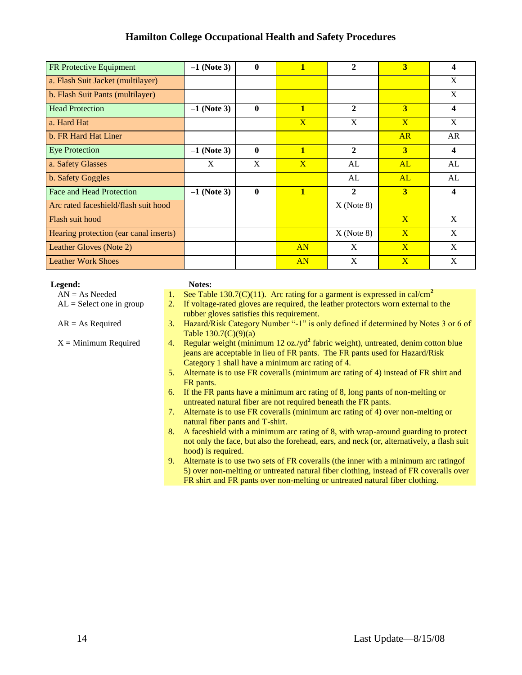| <b>FR Protective Equipment</b>         | $-1$ (Note 3) | $\mathbf{0}$ | 1              | $\mathbf{2}$ | $\overline{\mathbf{3}}$ | 4  |
|----------------------------------------|---------------|--------------|----------------|--------------|-------------------------|----|
| a. Flash Suit Jacket (multilayer)      |               |              |                |              |                         | X  |
| b. Flash Suit Pants (multilayer)       |               |              |                |              |                         | X  |
| <b>Head Protection</b>                 | $-1$ (Note 3) | $\mathbf{0}$ | $\mathbf{1}$   | $\mathbf{2}$ | 3                       | 4  |
| a. Hard Hat                            |               |              | $\overline{X}$ | X            | $\mathbf{X}$            | X  |
| b. FR Hard Hat Liner                   |               |              |                |              | AR                      | AR |
| <b>Eye Protection</b>                  | $-1$ (Note 3) | $\mathbf 0$  | $\mathbf{1}$   | $\mathbf{2}$ | 3                       | 4  |
| a. Safety Glasses                      | X             | X            | $\mathbf{X}$   | AL           | AL                      | AL |
| b. Safety Goggles                      |               |              |                | AL           | AL                      | AL |
| <b>Face and Head Protection</b>        | $-1$ (Note 3) | $\bf{0}$     | $\mathbf{1}$   | $\mathbf{2}$ | 3                       | 4  |
| Arc rated faceshield/flash suit hood   |               |              |                | $X$ (Note 8) |                         |    |
| Flash suit hood                        |               |              |                |              | $\overline{\mathbf{X}}$ | X  |
| Hearing protection (ear canal inserts) |               |              |                | $X$ (Note 8) | $\mathbf{X}$            | X  |
| Leather Gloves (Note 2)                |               |              | AN             | X            | $\overline{\mathbf{X}}$ | X  |
| <b>Leather Work Shoes</b>              |               |              | AN             | X            | $\overline{\mathbf{X}}$ | X  |

| Legend:                      | Notes:                    |
|------------------------------|---------------------------|
| $AN = As$ Needed             | 1. See Tabl               |
| $AT = C_1 1$ and $T = T_2 1$ | $\mathbf{E}$ $\mathbf{L}$ |

| $AN = As$ Needed | 1. See Table 130.7(C)(11). Arc rating for a garment is expressed in cal/cm <sup>2</sup> |  |  |
|------------------|-----------------------------------------------------------------------------------------|--|--|

- $AL =$  Select one in group 2. If voltage-rated gloves are required, the leather protectors worn external to the rubber gloves satisfies this requirement.
- $AR = As$  Required 3. Hazard/Risk Category Number "-1" is only defined if determined by Notes 3 or 6 of Table 130.7(C)(9)(a)
- $X =$ Minimum Required 4. Regular weight (minimum 12 oz./yd<sup>2</sup> fabric weight), untreated, denim cotton blue jeans are acceptable in lieu of FR pants. The FR pants used for Hazard/Risk Category 1 shall have a minimum arc rating of 4.
	- 5. Alternate is to use FR coveralls (minimum arc rating of 4) instead of FR shirt and FR pants.
	- 6. If the FR pants have a minimum arc rating of 8, long pants of non-melting or untreated natural fiber are not required beneath the FR pants.
	- 7. Alternate is to use FR coveralls (minimum arc rating of 4) over non-melting or natural fiber pants and T-shirt.
	- 8. A faceshield with a minimum arc rating of 8, with wrap-around guarding to protect not only the face, but also the forehead, ears, and neck (or, alternatively, a flash suit hood) is required.
	- 9. Alternate is to use two sets of FR coveralls (the inner with a minimum arc ratingof 5) over non-melting or untreated natural fiber clothing, instead of FR coveralls over FR shirt and FR pants over non-melting or untreated natural fiber clothing.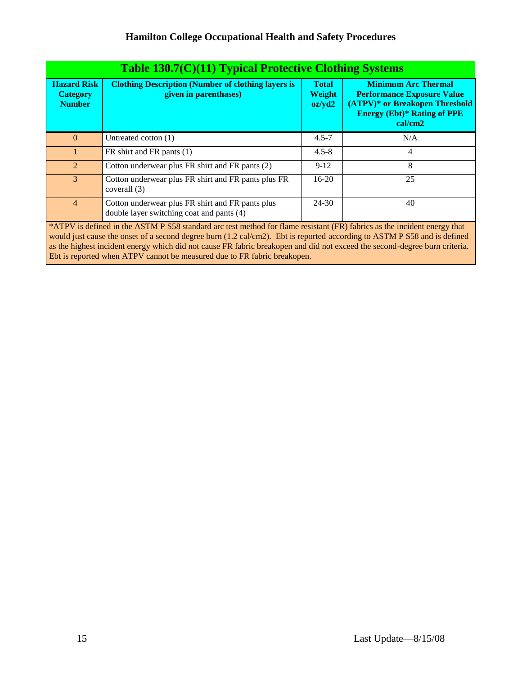|                                                        | Table 130.7(C)(11) Typical Protective Clothing Systems                                                                    |                                  |                                                                                                                                                    |  |  |  |  |  |
|--------------------------------------------------------|---------------------------------------------------------------------------------------------------------------------------|----------------------------------|----------------------------------------------------------------------------------------------------------------------------------------------------|--|--|--|--|--|
| <b>Hazard Risk</b><br><b>Category</b><br><b>Number</b> | <b>Clothing Description (Number of clothing layers is</b><br>given in parenthases)                                        | <b>Total</b><br>Weight<br>oz/yd2 | <b>Minimum Arc Thermal</b><br><b>Performance Exposure Value</b><br>(ATPV)* or Breakopen Threshold<br><b>Energy (Ebt)* Rating of PPE</b><br>cal/cm2 |  |  |  |  |  |
| $\Omega$                                               | Untreated cotton (1)                                                                                                      | $4.5 - 7$                        | N/A                                                                                                                                                |  |  |  |  |  |
|                                                        | FR shirt and FR pants (1)                                                                                                 | $4.5 - 8$                        | 4                                                                                                                                                  |  |  |  |  |  |
| $\mathcal{L}$                                          | Cotton underwear plus FR shirt and FR pants (2)                                                                           | $9-12$                           | 8                                                                                                                                                  |  |  |  |  |  |
| $\mathcal{E}$                                          | Cotton underwear plus FR shirt and FR pants plus FR<br>coverall (3)                                                       | $16-20$                          | 25                                                                                                                                                 |  |  |  |  |  |
| $\overline{4}$                                         | Cotton underwear plus FR shirt and FR pants plus<br>double layer switching coat and pants (4)                             | 24-30                            | 40                                                                                                                                                 |  |  |  |  |  |
|                                                        | $*ATDV$ is defined in the ASTM PS58 standard are test method for flame resistant (ER) fabrics as the incident energy that |                                  |                                                                                                                                                    |  |  |  |  |  |

\*ATPV is defined in the ASTM P S58 standard arc test method for flame resistant (FR) fabrics as the incident energy that would just cause the onset of a second degree burn (1.2 cal/cm2). Ebt is reported according to ASTM P S58 and is defined as the highest incident energy which did not cause FR fabric breakopen and did not exceed the second-degree burn criteria. Ebt is reported when ATPV cannot be measured due to FR fabric breakopen.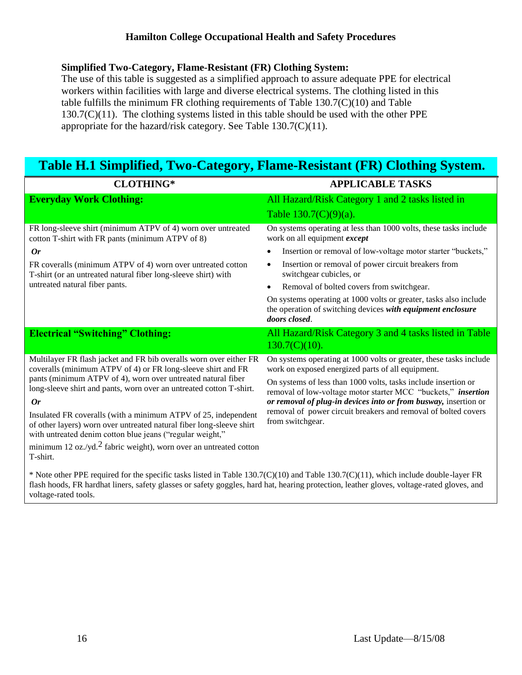#### **Simplified Two-Category, Flame-Resistant (FR) Clothing System:**

The use of this table is suggested as a simplified approach to assure adequate PPE for electrical workers within facilities with large and diverse electrical systems. The clothing listed in this table fulfills the minimum FR clothing requirements of Table 130.7(C)(10) and Table  $130.7(C)(11)$ . The clothing systems listed in this table should be used with the other PPE appropriate for the hazard/risk category. See Table 130.7(C)(11).

# **Table H.1 Simplified, Two-Category, Flame-Resistant (FR) Clothing System.**

| <b>CLOTHING*</b>                                                                                                                                                                                    | <b>APPLICABLE TASKS</b>                                                                                                                           |  |  |  |
|-----------------------------------------------------------------------------------------------------------------------------------------------------------------------------------------------------|---------------------------------------------------------------------------------------------------------------------------------------------------|--|--|--|
| <b>Everyday Work Clothing:</b>                                                                                                                                                                      | All Hazard/Risk Category 1 and 2 tasks listed in                                                                                                  |  |  |  |
|                                                                                                                                                                                                     | Table $130.7(C)(9)(a)$ .                                                                                                                          |  |  |  |
| FR long-sleeve shirt (minimum ATPV of 4) worn over untreated<br>cotton T-shirt with FR pants (minimum ATPV of 8)                                                                                    | On systems operating at less than 1000 volts, these tasks include<br>work on all equipment <i>except</i>                                          |  |  |  |
| <b>Or</b>                                                                                                                                                                                           | Insertion or removal of low-voltage motor starter "buckets,"                                                                                      |  |  |  |
| FR coveralls (minimum ATPV of 4) worn over untreated cotton<br>T-shirt (or an untreated natural fiber long-sleeve shirt) with                                                                       | Insertion or removal of power circuit breakers from<br>switchgear cubicles, or                                                                    |  |  |  |
| untreated natural fiber pants.                                                                                                                                                                      | Removal of bolted covers from switchgear.                                                                                                         |  |  |  |
|                                                                                                                                                                                                     | On systems operating at 1000 volts or greater, tasks also include<br>the operation of switching devices with equipment enclosure<br>doors closed. |  |  |  |
| <b>Electrical "Switching" Clothing:</b>                                                                                                                                                             | All Hazard/Risk Category 3 and 4 tasks listed in Table<br>$130.7(C)(10)$ .                                                                        |  |  |  |
| Multilayer FR flash jacket and FR bib overalls worn over either FR<br>coveralls (minimum ATPV of 4) or FR long-sleeve shirt and FR                                                                  | On systems operating at 1000 volts or greater, these tasks include<br>work on exposed energized parts of all equipment.                           |  |  |  |
| pants (minimum ATPV of 4), worn over untreated natural fiber<br>long-sleeve shirt and pants, worn over an untreated cotton T-shirt.                                                                 | On systems of less than 1000 volts, tasks include insertion or<br>removal of low-voltage motor starter MCC "buckets," insertion                   |  |  |  |
| <b>Or</b>                                                                                                                                                                                           | or removal of plug-in devices into or from busway, insertion or                                                                                   |  |  |  |
| Insulated FR coveralls (with a minimum ATPV of 25, independent<br>of other layers) worn over untreated natural fiber long-sleeve shirt<br>with untreated denim cotton blue jeans ("regular weight," | removal of power circuit breakers and removal of bolted covers<br>from switchgear.                                                                |  |  |  |
| minimum 12 oz./yd. $2$ fabric weight), worn over an untreated cotton<br>T-shirt.                                                                                                                    |                                                                                                                                                   |  |  |  |

\* Note other PPE required for the specific tasks listed in Table 130.7(C)(10) and Table 130.7(C)(11), which include double-layer FR flash hoods, FR hardhat liners, safety glasses or safety goggles, hard hat, hearing protection, leather gloves, voltage-rated gloves, and voltage-rated tools.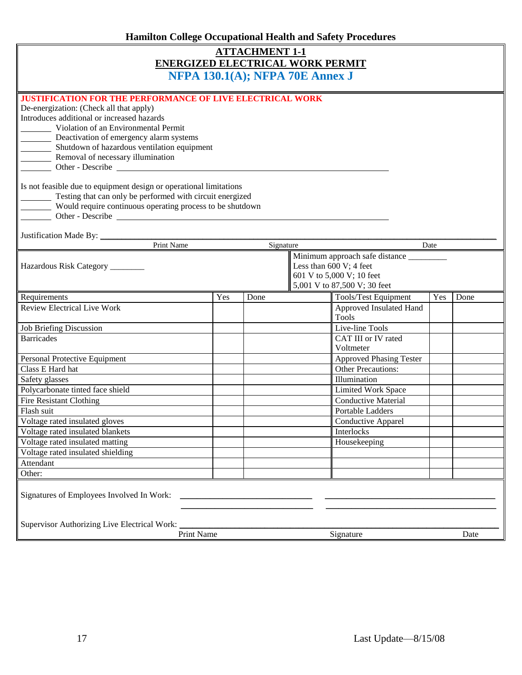| <b>Hamilton College Occupational Health and Safety Procedures</b>                                                                                                                                                                                                                                                                                                                                                                                                                                                                                                        |     |      |           |                                  |      |      |
|--------------------------------------------------------------------------------------------------------------------------------------------------------------------------------------------------------------------------------------------------------------------------------------------------------------------------------------------------------------------------------------------------------------------------------------------------------------------------------------------------------------------------------------------------------------------------|-----|------|-----------|----------------------------------|------|------|
| <b>ATTACHMENT 1-1</b><br><b>ENERGIZED ELECTRICAL WORK PERMIT</b><br>NFPA 130.1(A); NFPA 70E Annex J                                                                                                                                                                                                                                                                                                                                                                                                                                                                      |     |      |           |                                  |      |      |
| <b>JUSTIFICATION FOR THE PERFORMANCE OF LIVE ELECTRICAL WORK</b><br>De-energization: (Check all that apply)<br>Introduces additional or increased hazards<br>Violation of an Environmental Permit<br>Deactivation of emergency alarm systems<br>Shutdown of hazardous ventilation equipment<br>Removal of necessary illumination<br>Other - Describe<br>Is not feasible due to equipment design or operational limitations<br>Testing that can only be performed with circuit energized<br>Would require continuous operating process to be shutdown<br>Other - Describe |     |      |           |                                  |      |      |
| Justification Made By: ____<br>Print Name                                                                                                                                                                                                                                                                                                                                                                                                                                                                                                                                |     |      | Signature |                                  | Date |      |
| Less than $600V$ ; 4 feet<br>Hazardous Risk Category _______<br>601 V to 5,000 V; 10 feet<br>5,001 V to 87,500 V; 30 feet                                                                                                                                                                                                                                                                                                                                                                                                                                                |     |      |           |                                  |      |      |
| Requirements                                                                                                                                                                                                                                                                                                                                                                                                                                                                                                                                                             | Yes | Done |           | Tools/Test Equipment             | Yes  | Done |
| <b>Review Electrical Live Work</b>                                                                                                                                                                                                                                                                                                                                                                                                                                                                                                                                       |     |      |           | Approved Insulated Hand<br>Tools |      |      |
| Job Briefing Discussion                                                                                                                                                                                                                                                                                                                                                                                                                                                                                                                                                  |     |      |           | Live-line Tools                  |      |      |
| <b>Barricades</b>                                                                                                                                                                                                                                                                                                                                                                                                                                                                                                                                                        |     |      |           | CAT III or IV rated<br>Voltmeter |      |      |
| Personal Protective Equipment                                                                                                                                                                                                                                                                                                                                                                                                                                                                                                                                            |     |      |           | <b>Approved Phasing Tester</b>   |      |      |
| Class E Hard hat                                                                                                                                                                                                                                                                                                                                                                                                                                                                                                                                                         |     |      |           | <b>Other Precautions:</b>        |      |      |
| Safety glasses                                                                                                                                                                                                                                                                                                                                                                                                                                                                                                                                                           |     |      |           | Illumination                     |      |      |
| Polycarbonate tinted face shield                                                                                                                                                                                                                                                                                                                                                                                                                                                                                                                                         |     |      |           | <b>Limited Work Space</b>        |      |      |
| <b>Fire Resistant Clothing</b>                                                                                                                                                                                                                                                                                                                                                                                                                                                                                                                                           |     |      |           | <b>Conductive Material</b>       |      |      |
| Flash suit                                                                                                                                                                                                                                                                                                                                                                                                                                                                                                                                                               |     |      |           | Portable Ladders                 |      |      |
| Voltage rated insulated gloves                                                                                                                                                                                                                                                                                                                                                                                                                                                                                                                                           |     |      |           | Conductive Apparel               |      |      |
| Voltage rated insulated blankets                                                                                                                                                                                                                                                                                                                                                                                                                                                                                                                                         |     |      |           | Interlocks                       |      |      |
| Voltage rated insulated matting                                                                                                                                                                                                                                                                                                                                                                                                                                                                                                                                          |     |      |           | Housekeeping                     |      |      |
| Voltage rated insulated shielding                                                                                                                                                                                                                                                                                                                                                                                                                                                                                                                                        |     |      |           |                                  |      |      |
| Attendant                                                                                                                                                                                                                                                                                                                                                                                                                                                                                                                                                                |     |      |           |                                  |      |      |
| Other:                                                                                                                                                                                                                                                                                                                                                                                                                                                                                                                                                                   |     |      |           |                                  |      |      |
| Signatures of Employees Involved In Work:                                                                                                                                                                                                                                                                                                                                                                                                                                                                                                                                |     |      |           |                                  |      |      |
| Supervisor Authorizing Live Electrical Work:<br>Print Name                                                                                                                                                                                                                                                                                                                                                                                                                                                                                                               |     |      |           | Signature                        |      | Date |